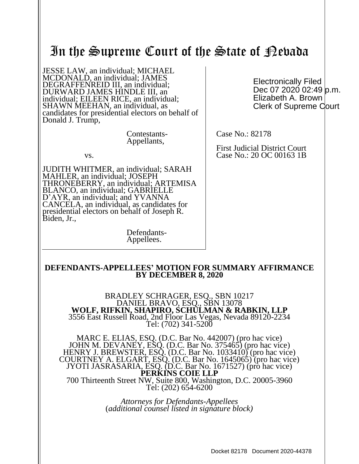# In the Supreme Court of the State of Pebada

JESSE LAW, an individual; MICHAEL MCDONALD, an individual; JAMES DEGRAFFENREID III, an individual; DURWARD JAMES HINDLE III, an individual; EILEEN RICE, an individual; SHAWN MEEHAN, an individual, as candidates for presidential electors on behalf of Donald J. Trump,

> Contestants-Appellants,

vs.

JUDITH WHITMER, an individual; SARAH MAHLER, an individual; JOSEPH THRONEBERRY, an individual; ARTEMISA BLANCO, an individual; GABRIELLE D'AYR, an individual; and YVANNA CANCELA, an individual, as candidates for presidential electors on behalf of Joseph R. Biden, Jr.,

> Defendants-Appellees.

Electronically Filed Dec 07 2020 02:49 p.m. Elizabeth A. Brown Clerk of Supreme Court

Case No.: 82178

First Judicial District Court Case No.: 20 OC 00163 1B

#### **DEFENDANTS-APPELLEES' MOTION FOR SUMMARY AFFIRMANCE BY DECEMBER 8, 2020**

BRADLEY SCHRAGER, ESQ., SBN 10217 DANIEL BRAVO, ESQ., SBN 13078 **WOLF, RIFKIN, SHAPIRO, SCHULMAN & RABKIN, LLP** 3556 East Russell Road, 2nd Floor Las Vegas, Nevada 89120-2234 Tel: (702) 341-5200

MARC E. ELIAS, ESQ. (D.C. Bar No. 442007) (pro hac vice) JOHN M. DEVANEY, ESQ. (D.C. Bar No. 375465) (pro hac vice) HENRY J. BREWSTER, ESQ. (D.C. Bar No. 1033410) (pro hac vice) COURTNEY A. ELGART, ESQ. (D.C. Bar No. 1645065) (pro hac vice) JYOTI JASRASARIA, ESQ. (D.C. Bar No. 1671527) (pro hac vice) **PERKINS COIE LLP** 700 Thirteenth Street NW, Suite 800, Washington, D.C. 20005-3960 Tel: (202) 654-6200

> *Attorneys for Defendants-Appellees* (*additional counsel listed in signature block)*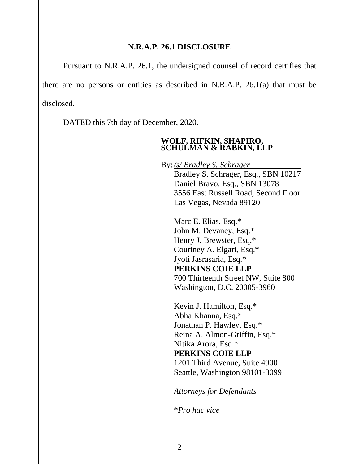#### **N.R.A.P. 26.1 DISCLOSURE**

Pursuant to N.R.A.P. 26.1, the undersigned counsel of record certifies that there are no persons or entities as described in N.R.A.P. 26.1(a) that must be disclosed.

DATED this 7th day of December, 2020.

#### **WOLF, RIFKIN, SHAPIRO, SCHULMAN & RABKIN, LLP**

By: */s/ Bradley S. Schrager* Bradley S. Schrager, Esq., SBN 10217 Daniel Bravo, Esq., SBN 13078 3556 East Russell Road, Second Floor Las Vegas, Nevada 89120

Marc E. Elias, Esq.\* John M. Devaney, Esq.\* Henry J. Brewster, Esq.\* Courtney A. Elgart, Esq.\* Jyoti Jasrasaria, Esq.\* **PERKINS COIE LLP** 700 Thirteenth Street NW, Suite 800 Washington, D.C. 20005-3960

Kevin J. Hamilton, Esq.\* Abha Khanna, Esq.\* Jonathan P. Hawley, Esq.\* Reina A. Almon-Griffin, Esq.\* Nitika Arora, Esq.\* **PERKINS COIE LLP** 1201 Third Avenue, Suite 4900 Seattle, Washington 98101-3099

*Attorneys for Defendants*

\**Pro hac vice*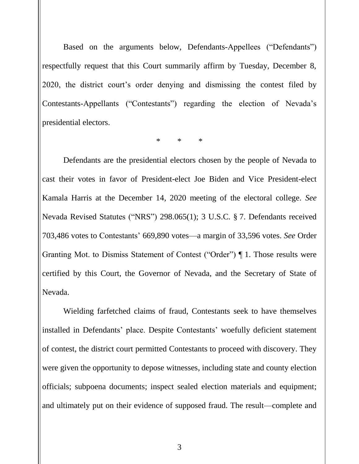Based on the arguments below, Defendants-Appellees ("Defendants") respectfully request that this Court summarily affirm by Tuesday, December 8, 2020, the district court's order denying and dismissing the contest filed by Contestants-Appellants ("Contestants") regarding the election of Nevada's presidential electors.

\* \* \*

Defendants are the presidential electors chosen by the people of Nevada to cast their votes in favor of President-elect Joe Biden and Vice President-elect Kamala Harris at the December 14, 2020 meeting of the electoral college. *See* Nevada Revised Statutes ("NRS") 298.065(1); 3 U.S.C. § 7. Defendants received 703,486 votes to Contestants' 669,890 votes—a margin of 33,596 votes. *See* Order Granting Mot. to Dismiss Statement of Contest ("Order") ¶ 1. Those results were certified by this Court, the Governor of Nevada, and the Secretary of State of Nevada.

Wielding farfetched claims of fraud, Contestants seek to have themselves installed in Defendants' place. Despite Contestants' woefully deficient statement of contest, the district court permitted Contestants to proceed with discovery. They were given the opportunity to depose witnesses, including state and county election officials; subpoena documents; inspect sealed election materials and equipment; and ultimately put on their evidence of supposed fraud. The result—complete and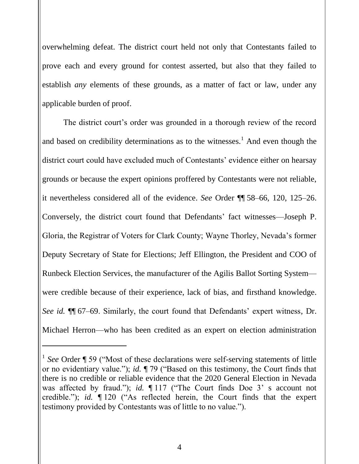overwhelming defeat. The district court held not only that Contestants failed to prove each and every ground for contest asserted, but also that they failed to establish *any* elements of these grounds, as a matter of fact or law, under any applicable burden of proof.

The district court's order was grounded in a thorough review of the record and based on credibility determinations as to the witnesses.<sup>1</sup> And even though the district court could have excluded much of Contestants' evidence either on hearsay grounds or because the expert opinions proffered by Contestants were not reliable, it nevertheless considered all of the evidence. *See* Order ¶¶ 58–66, 120, 125–26. Conversely, the district court found that Defendants' fact witnesses—Joseph P. Gloria, the Registrar of Voters for Clark County; Wayne Thorley, Nevada's former Deputy Secretary of State for Elections; Jeff Ellington, the President and COO of Runbeck Election Services, the manufacturer of the Agilis Ballot Sorting System were credible because of their experience, lack of bias, and firsthand knowledge. *See id.* ¶¶ 67–69. Similarly, the court found that Defendants' expert witness, Dr. Michael Herron—who has been credited as an expert on election administration

 $\overline{a}$ 

<sup>&</sup>lt;sup>1</sup> See Order ¶ 59 ("Most of these declarations were self-serving statements of little or no evidentiary value."); *id.* ¶ 79 ("Based on this testimony, the Court finds that there is no credible or reliable evidence that the 2020 General Election in Nevada was affected by fraud."); *id.* ¶ 117 ("The Court finds Doe 3' s account not credible."); *id.* ¶ 120 ("As reflected herein, the Court finds that the expert testimony provided by Contestants was of little to no value.").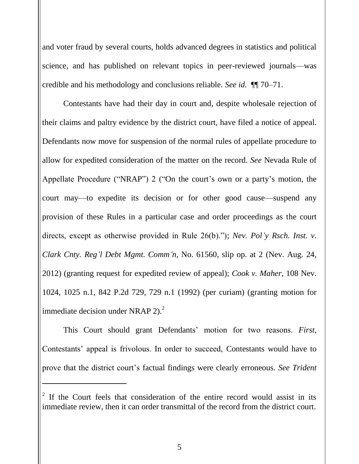and voter fraud by several courts, holds advanced degrees in statistics and political science, and has published on relevant topics in peer-reviewed journals—was credible and his methodology and conclusions reliable. *See id.* ¶¶ 70–71.

Contestants have had their day in court and, despite wholesale rejection of their claims and paltry evidence by the district court, have filed a notice of appeal. Defendants now move for suspension of the normal rules of appellate procedure to allow for expedited consideration of the matter on the record. *See* Nevada Rule of Appellate Procedure ("NRAP") 2 ("On the court's own or a party's motion, the court may—to expedite its decision or for other good cause—suspend any provision of these Rules in a particular case and order proceedings as the court directs, except as otherwise provided in Rule 26(b)."); *Nev. Pol'y Rsch. Inst. v. Clark Cnty. Reg'l Debt Mgmt. Comm'n*, No. 61560, slip op. at 2 (Nev. Aug. 24, 2012) (granting request for expedited review of appeal); *Cook v. Maher*, 108 Nev. 1024, 1025 n.1, 842 P.2d 729, 729 n.1 (1992) (per curiam) (granting motion for immediate decision under NRAP  $2^2$ .

This Court should grant Defendants' motion for two reasons. *First*, Contestants' appeal is frivolous. In order to succeed, Contestants would have to prove that the district court's factual findings were clearly erroneous. *See Trident* 

 $\overline{a}$ 

 $2<sup>2</sup>$  If the Court feels that consideration of the entire record would assist in its immediate review, then it can order transmittal of the record from the district court.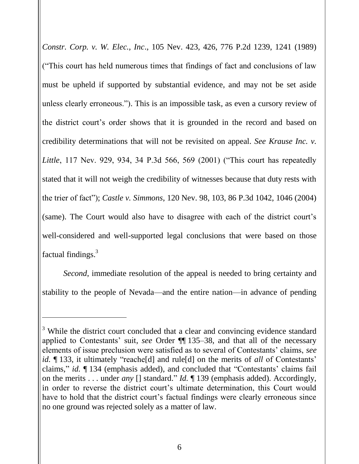*Constr. Corp. v. W. Elec., Inc*., 105 Nev. 423, 426, 776 P.2d 1239, 1241 (1989) ("This court has held numerous times that findings of fact and conclusions of law must be upheld if supported by substantial evidence, and may not be set aside unless clearly erroneous."). This is an impossible task, as even a cursory review of the district court's order shows that it is grounded in the record and based on credibility determinations that will not be revisited on appeal. *See Krause Inc. v. Little*, 117 Nev. 929, 934, 34 P.3d 566, 569 (2001) ("This court has repeatedly stated that it will not weigh the credibility of witnesses because that duty rests with the trier of fact"); *Castle v. Simmons*, 120 Nev. 98, 103, 86 P.3d 1042, 1046 (2004) (same). The Court would also have to disagree with each of the district court's well-considered and well-supported legal conclusions that were based on those factual findings.<sup>3</sup>

*Second*, immediate resolution of the appeal is needed to bring certainty and stability to the people of Nevada—and the entire nation—in advance of pending

l

<sup>&</sup>lt;sup>3</sup> While the district court concluded that a clear and convincing evidence standard applied to Contestants' suit, *see* Order ¶¶ 135–38, and that all of the necessary elements of issue preclusion were satisfied as to several of Contestants' claims, *see id.* ¶ 133, it ultimately "reache[d] and rule[d] on the merits of *all* of Contestants' claims," *id.* ¶ 134 (emphasis added), and concluded that "Contestants' claims fail on the merits . . . under *any* [] standard." *Id.* ¶ 139 (emphasis added). Accordingly, in order to reverse the district court's ultimate determination, this Court would have to hold that the district court's factual findings were clearly erroneous since no one ground was rejected solely as a matter of law.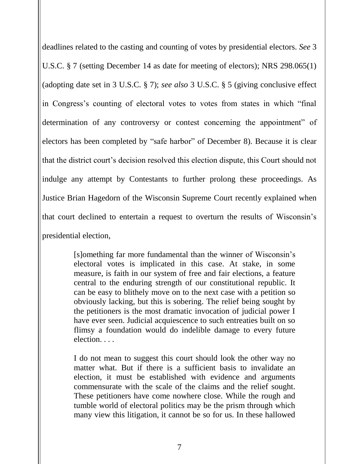deadlines related to the casting and counting of votes by presidential electors. *See* 3 U.S.C. § 7 (setting December 14 as date for meeting of electors); NRS 298.065(1) (adopting date set in 3 U.S.C. § 7); *see also* 3 U.S.C. § 5 (giving conclusive effect in Congress's counting of electoral votes to votes from states in which "final determination of any controversy or contest concerning the appointment" of electors has been completed by "safe harbor" of December 8). Because it is clear that the district court's decision resolved this election dispute, this Court should not indulge any attempt by Contestants to further prolong these proceedings. As Justice Brian Hagedorn of the Wisconsin Supreme Court recently explained when that court declined to entertain a request to overturn the results of Wisconsin's presidential election,

> [s]omething far more fundamental than the winner of Wisconsin's electoral votes is implicated in this case. At stake, in some measure, is faith in our system of free and fair elections, a feature central to the enduring strength of our constitutional republic. It can be easy to blithely move on to the next case with a petition so obviously lacking, but this is sobering. The relief being sought by the petitioners is the most dramatic invocation of judicial power I have ever seen. Judicial acquiescence to such entreaties built on so flimsy a foundation would do indelible damage to every future election. . . .

> I do not mean to suggest this court should look the other way no matter what. But if there is a sufficient basis to invalidate an election, it must be established with evidence and arguments commensurate with the scale of the claims and the relief sought. These petitioners have come nowhere close. While the rough and tumble world of electoral politics may be the prism through which many view this litigation, it cannot be so for us. In these hallowed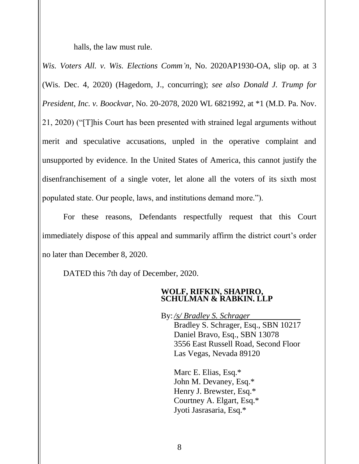halls, the law must rule.

*Wis. Voters All. v. Wis. Elections Comm'n*, No. 2020AP1930-OA, slip op. at 3 (Wis. Dec. 4, 2020) (Hagedorn, J., concurring); *see also Donald J. Trump for President, Inc. v. Boockvar*, No. 20-2078, 2020 WL 6821992, at \*1 (M.D. Pa. Nov. 21, 2020) ("[T]his Court has been presented with strained legal arguments without merit and speculative accusations, unpled in the operative complaint and unsupported by evidence. In the United States of America, this cannot justify the disenfranchisement of a single voter, let alone all the voters of its sixth most populated state. Our people, laws, and institutions demand more.").

For these reasons, Defendants respectfully request that this Court immediately dispose of this appeal and summarily affirm the district court's order no later than December 8, 2020.

DATED this 7th day of December, 2020.

### **WOLF, RIFKIN, SHAPIRO, SCHULMAN & RABKIN, LLP**

By: */s/ Bradley S. Schrager* Bradley S. Schrager, Esq., SBN 10217 Daniel Bravo, Esq., SBN 13078 3556 East Russell Road, Second Floor Las Vegas, Nevada 89120

Marc E. Elias, Esq.\* John M. Devaney, Esq.\* Henry J. Brewster, Esq.\* Courtney A. Elgart, Esq.\* Jyoti Jasrasaria, Esq.\*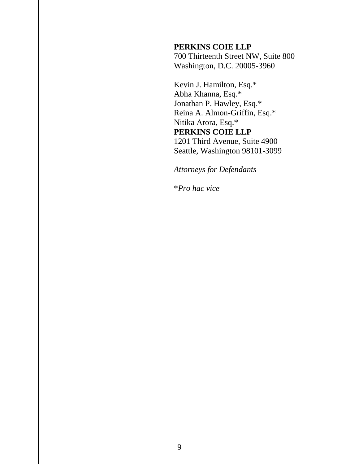## **PERKINS COIE LLP**

700 Thirteenth Street NW, Suite 800 Washington, D.C. 20005-3960

Kevin J. Hamilton, Esq.\* Abha Khanna, Esq.\* Jonathan P. Hawley, Esq.\* Reina A. Almon-Griffin, Esq.\* Nitika Arora, Esq.\* **PERKINS COIE LLP** 1201 Third Avenue, Suite 4900 Seattle, Washington 98101-3099

*Attorneys for Defendants*

\**Pro hac vice*